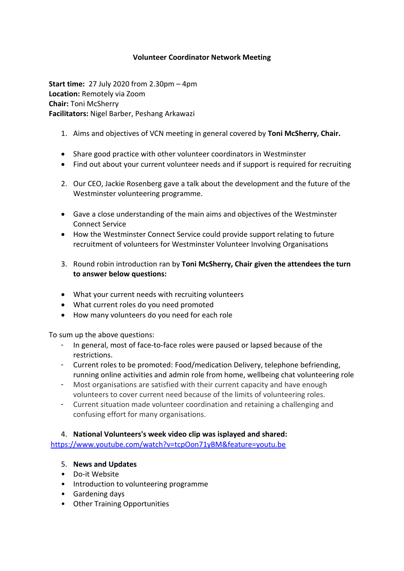### **Volunteer Coordinator Network Meeting**

**Start time:** 27 July 2020 from 2.30pm – 4pm **Location:** Remotely via Zoom **Chair:** Toni McSherry **Facilitators:** Nigel Barber, Peshang Arkawazi

- 1. Aims and objectives of VCN meeting in general covered by **Toni McSherry, Chair.**
- Share good practice with other volunteer coordinators in Westminster
- Find out about your current volunteer needs and if support is required for recruiting
- 2. Our CEO, Jackie Rosenberg gave a talk about the development and the future of the Westminster volunteering programme.
- Gave a close understanding of the main aims and objectives of the Westminster Connect Service
- How the Westminster Connect Service could provide support relating to future recruitment of volunteers for Westminster Volunteer Involving Organisations
- 3. Round robin introduction ran by **Toni McSherry, Chair given the attendees the turn to answer below questions:**
- What your current needs with recruiting volunteers
- What current roles do you need promoted
- How many volunteers do you need for each role

To sum up the above questions:

- In general, most of face-to-face roles were paused or lapsed because of the restrictions.
- Current roles to be promoted: Food/medication Delivery, telephone befriending, running online activities and admin role from home, wellbeing chat volunteering role
- Most organisations are satisfied with their current capacity and have enough volunteers to cover current need because of the limits of volunteering roles.
- Current situation made volunteer coordination and retaining a challenging and confusing effort for many organisations.

#### 4. **National Volunteers's week video clip was isplayed and shared:**

<https://www.youtube.com/watch?v=tcpOon71yBM&feature=youtu.be>

#### 5. **News and Updates**

- Do-it Website
- Introduction to volunteering programme
- Gardening days
- Other Training Opportunities